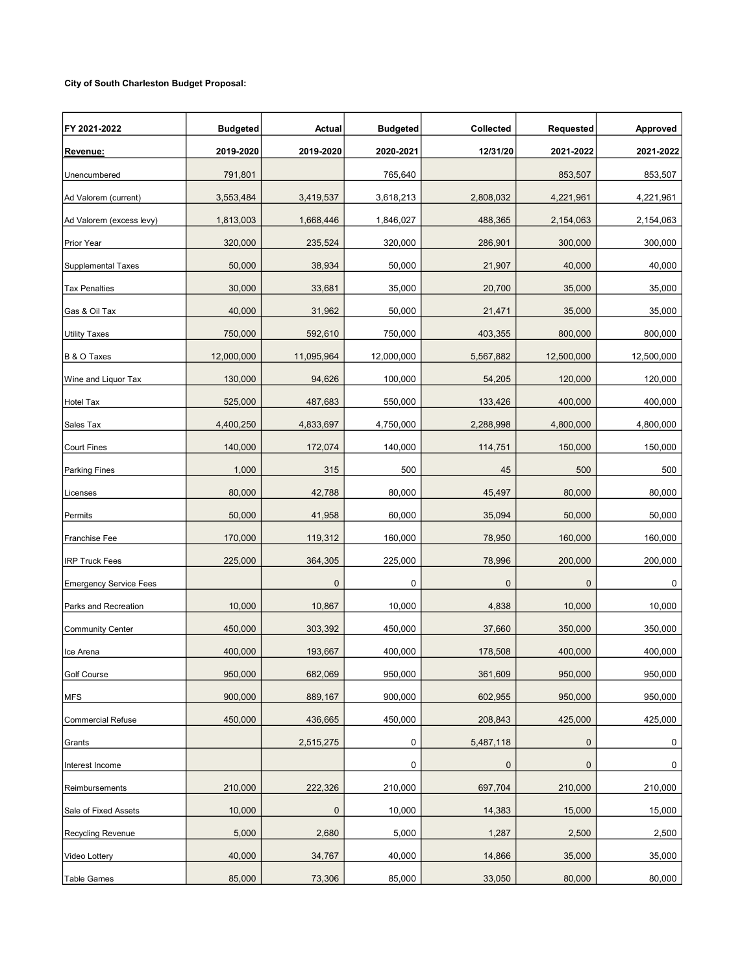## City of South Charleston Budget Proposal:

| FY 2021-2022                  | <b>Budgeted</b> | Actual     | <b>Budgeted</b> | Collected   | Requested   | Approved   |
|-------------------------------|-----------------|------------|-----------------|-------------|-------------|------------|
| Revenue:                      | 2019-2020       | 2019-2020  | 2020-2021       | 12/31/20    | 2021-2022   | 2021-2022  |
| Unencumbered                  | 791,801         |            | 765,640         |             | 853,507     | 853,507    |
| Ad Valorem (current)          | 3,553,484       | 3,419,537  | 3,618,213       | 2,808,032   | 4,221,961   | 4,221,961  |
| Ad Valorem (excess levy)      | 1,813,003       | 1,668,446  | 1,846,027       | 488,365     | 2,154,063   | 2,154,063  |
| Prior Year                    | 320,000         | 235,524    | 320,000         | 286,901     | 300,000     | 300,000    |
| <b>Supplemental Taxes</b>     | 50,000          | 38,934     | 50,000          | 21,907      | 40,000      | 40,000     |
| Tax Penalties                 | 30,000          | 33,681     | 35,000          | 20,700      | 35,000      | 35,000     |
| Gas & Oil Tax                 | 40,000          | 31,962     | 50,000          | 21,471      | 35,000      | 35,000     |
| <b>Utility Taxes</b>          | 750,000         | 592,610    | 750,000         | 403,355     | 800,000     | 800,000    |
| B & O Taxes                   | 12,000,000      | 11,095,964 | 12,000,000      | 5,567,882   | 12,500,000  | 12,500,000 |
| Wine and Liquor Tax           | 130,000         | 94,626     | 100,000         | 54,205      | 120,000     | 120,000    |
| Hotel Tax                     | 525,000         | 487,683    | 550,000         | 133,426     | 400,000     | 400,000    |
| Sales Tax                     | 4,400,250       | 4,833,697  | 4,750,000       | 2,288,998   | 4,800,000   | 4,800,000  |
| <b>Court Fines</b>            | 140,000         | 172,074    | 140,000         | 114,751     | 150,000     | 150,000    |
| <b>Parking Fines</b>          | 1,000           | 315        | 500             | 45          | 500         | 500        |
| Licenses                      | 80,000          | 42,788     | 80,000          | 45,497      | 80,000      | 80,000     |
| Permits                       | 50,000          | 41,958     | 60,000          | 35,094      | 50,000      | 50,000     |
| Franchise Fee                 | 170,000         | 119,312    | 160,000         | 78,950      | 160,000     | 160,000    |
| <b>IRP Truck Fees</b>         | 225,000         | 364,305    | 225,000         | 78,996      | 200,000     | 200,000    |
| <b>Emergency Service Fees</b> |                 | $\pmb{0}$  | 0               | $\pmb{0}$   | $\mathbf 0$ | 0          |
| Parks and Recreation          | 10,000          | 10,867     | 10,000          | 4,838       | 10,000      | 10,000     |
| <b>Community Center</b>       | 450,000         | 303,392    | 450,000         | 37,660      | 350,000     | 350,000    |
| Ice Arena                     | 400,000         | 193,667    | 400,000         | 178,508     | 400,000     | 400,000    |
| Golf Course                   | 950,000         | 682,069    | 950,000         | 361,609     | 950,000     | 950,000    |
| <b>MFS</b>                    | 900,000         | 889,167    | 900,000         | 602,955     | 950,000     | 950,000    |
| <b>Commercial Refuse</b>      | 450,000         | 436,665    | 450,000         | 208,843     | 425,000     | 425,000    |
| Grants                        |                 | 2,515,275  | 0               | 5,487,118   | $\pmb{0}$   | 0          |
| Interest Income               |                 |            | 0               | $\mathbf 0$ | 0           | 0          |
| Reimbursements                | 210,000         | 222,326    | 210,000         | 697,704     | 210,000     | 210,000    |
| Sale of Fixed Assets          | 10,000          | 0          | 10,000          | 14,383      | 15,000      | 15,000     |
| <b>Recycling Revenue</b>      | 5,000           | 2,680      | 5,000           | 1,287       | 2,500       | 2,500      |
| Video Lottery                 | 40,000          | 34,767     | 40,000          | 14,866      | 35,000      | 35,000     |
| Table Games                   | 85,000          | 73,306     | 85,000          | 33,050      | 80,000      | 80,000     |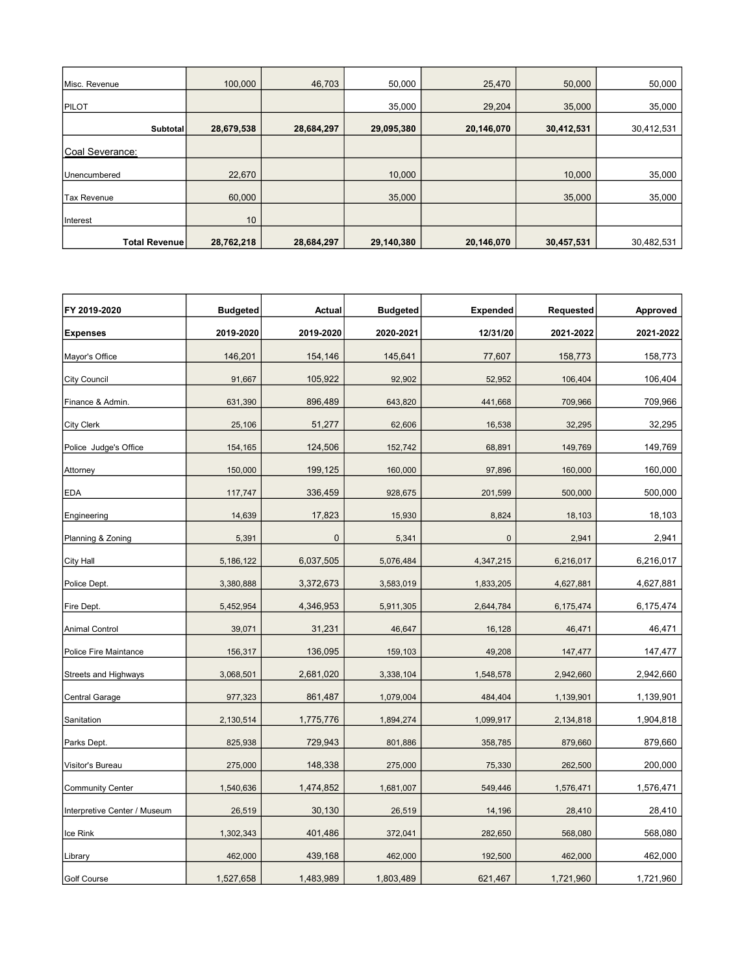| Misc. Revenue        | 100,000    | 46,703     | 50,000     | 25,470     | 50,000     | 50,000     |
|----------------------|------------|------------|------------|------------|------------|------------|
| PILOT                |            |            | 35,000     | 29,204     | 35,000     | 35,000     |
| Subtotal             | 28,679,538 | 28,684,297 | 29,095,380 | 20,146,070 | 30,412,531 | 30,412,531 |
| Coal Severance:      |            |            |            |            |            |            |
| Unencumbered         | 22,670     |            | 10,000     |            | 10,000     | 35,000     |
| <b>Tax Revenue</b>   | 60,000     |            | 35,000     |            | 35,000     | 35,000     |
| Interest             | 10         |            |            |            |            |            |
| <b>Total Revenue</b> | 28,762,218 | 28,684,297 | 29,140,380 | 20,146,070 | 30,457,531 | 30,482,531 |

| FY 2019-2020                 | <b>Budgeted</b> | Actual      | <b>Budgeted</b> | <b>Expended</b> | Requested | <b>Approved</b> |
|------------------------------|-----------------|-------------|-----------------|-----------------|-----------|-----------------|
| <b>Expenses</b>              | 2019-2020       | 2019-2020   | 2020-2021       | 12/31/20        | 2021-2022 | 2021-2022       |
| Mayor's Office               | 146,201         | 154,146     | 145,641         | 77,607          | 158,773   | 158,773         |
| <b>City Council</b>          | 91,667          | 105,922     | 92,902          | 52,952          | 106,404   | 106,404         |
| Finance & Admin.             | 631,390         | 896,489     | 643,820         | 441,668         | 709,966   | 709,966         |
| <b>City Clerk</b>            | 25,106          | 51,277      | 62,606          | 16,538          | 32,295    | 32,295          |
| Police Judge's Office        | 154,165         | 124,506     | 152,742         | 68,891          | 149,769   | 149,769         |
| Attorney                     | 150,000         | 199,125     | 160,000         | 97,896          | 160,000   | 160,000         |
| <b>EDA</b>                   | 117,747         | 336,459     | 928,675         | 201,599         | 500,000   | 500,000         |
| Engineering                  | 14,639          | 17,823      | 15,930          | 8,824           | 18,103    | 18,103          |
| Planning & Zoning            | 5,391           | $\mathbf 0$ | 5,341           | $\mathbf 0$     | 2,941     | 2,941           |
| <b>City Hall</b>             | 5,186,122       | 6,037,505   | 5,076,484       | 4,347,215       | 6,216,017 | 6,216,017       |
| Police Dept.                 | 3,380,888       | 3,372,673   | 3,583,019       | 1,833,205       | 4,627,881 | 4,627,881       |
| Fire Dept.                   | 5,452,954       | 4,346,953   | 5,911,305       | 2,644,784       | 6,175,474 | 6,175,474       |
| <b>Animal Control</b>        | 39,071          | 31,231      | 46,647          | 16,128          | 46,471    | 46,471          |
| Police Fire Maintance        | 156,317         | 136,095     | 159,103         | 49,208          | 147,477   | 147,477         |
| <b>Streets and Highways</b>  | 3,068,501       | 2,681,020   | 3,338,104       | 1,548,578       | 2,942,660 | 2,942,660       |
| <b>Central Garage</b>        | 977,323         | 861,487     | 1,079,004       | 484,404         | 1,139,901 | 1,139,901       |
| Sanitation                   | 2,130,514       | 1,775,776   | 1,894,274       | 1,099,917       | 2,134,818 | 1,904,818       |
| Parks Dept.                  | 825,938         | 729,943     | 801,886         | 358,785         | 879,660   | 879,660         |
| Visitor's Bureau             | 275,000         | 148,338     | 275,000         | 75,330          | 262,500   | 200,000         |
| <b>Community Center</b>      | 1,540,636       | 1,474,852   | 1,681,007       | 549,446         | 1,576,471 | 1,576,471       |
| Interpretive Center / Museum | 26,519          | 30,130      | 26,519          | 14,196          | 28,410    | 28,410          |
| Ice Rink                     | 1,302,343       | 401,486     | 372,041         | 282,650         | 568,080   | 568,080         |
| Library                      | 462,000         | 439,168     | 462,000         | 192,500         | 462,000   | 462,000         |
| Golf Course                  | 1,527,658       | 1,483,989   | 1,803,489       | 621,467         | 1,721,960 | 1,721,960       |